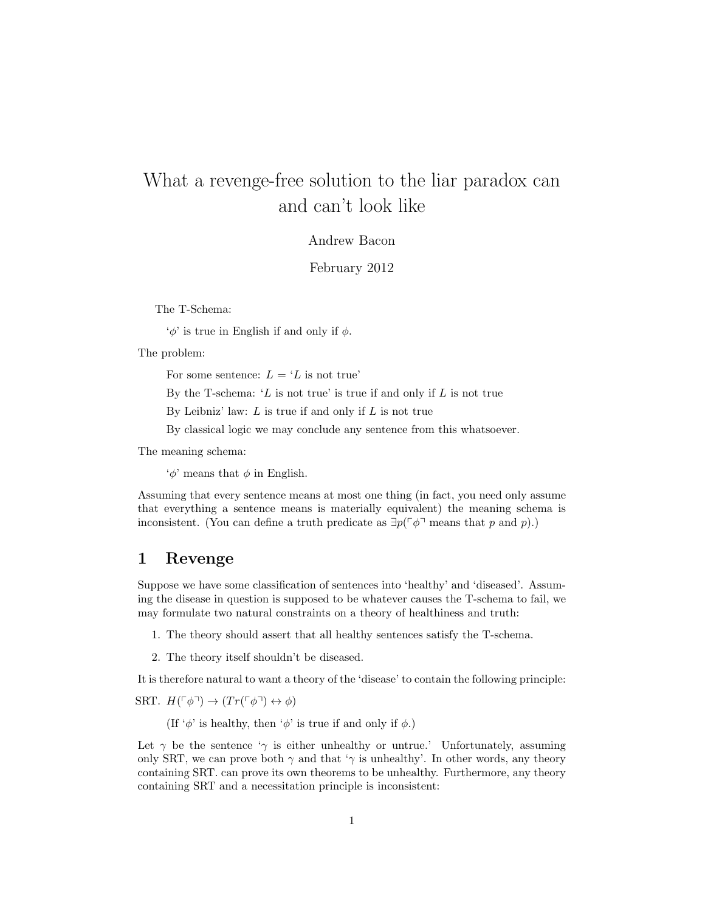# What a revenge-free solution to the liar paradox can and can't look like

#### Andrew Bacon

February 2012

The T-Schema:

 $\phi'$  is true in English if and only if  $\phi$ .

The problem:

For some sentence:  $L = 'L$  is not true'

By the T-schema: ' $L$  is not true' is true if and only if  $L$  is not true

By Leibniz' law:  $L$  is true if and only if  $L$  is not true

By classical logic we may conclude any sentence from this whatsoever.

The meaning schema:

 $\phi'$  means that  $\phi$  in English.

Assuming that every sentence means at most one thing (in fact, you need only assume that everything a sentence means is materially equivalent) the meaning schema is inconsistent. (You can define a truth predicate as  $\exists p(\ulcorner\phi\urcorner\text{ means that }p\text{ and }p).$ )

#### 1 Revenge

Suppose we have some classification of sentences into 'healthy' and 'diseased'. Assuming the disease in question is supposed to be whatever causes the T-schema to fail, we may formulate two natural constraints on a theory of healthiness and truth:

- 1. The theory should assert that all healthy sentences satisfy the T-schema.
- 2. The theory itself shouldn't be diseased.

It is therefore natural to want a theory of the 'disease' to contain the following principle:

SRT.  $H(\ulcorner \phi \urcorner) \rightarrow (Tr(\ulcorner \phi \urcorner) \leftrightarrow \phi)$ 

(If ' $\phi$ ' is healthy, then ' $\phi$ ' is true if and only if  $\phi$ .)

Let  $\gamma$  be the sentence ' $\gamma$  is either unhealthy or untrue.' Unfortunately, assuming only SRT, we can prove both  $\gamma$  and that ' $\gamma$  is unhealthy'. In other words, any theory containing SRT. can prove its own theorems to be unhealthy. Furthermore, any theory containing SRT and a necessitation principle is inconsistent: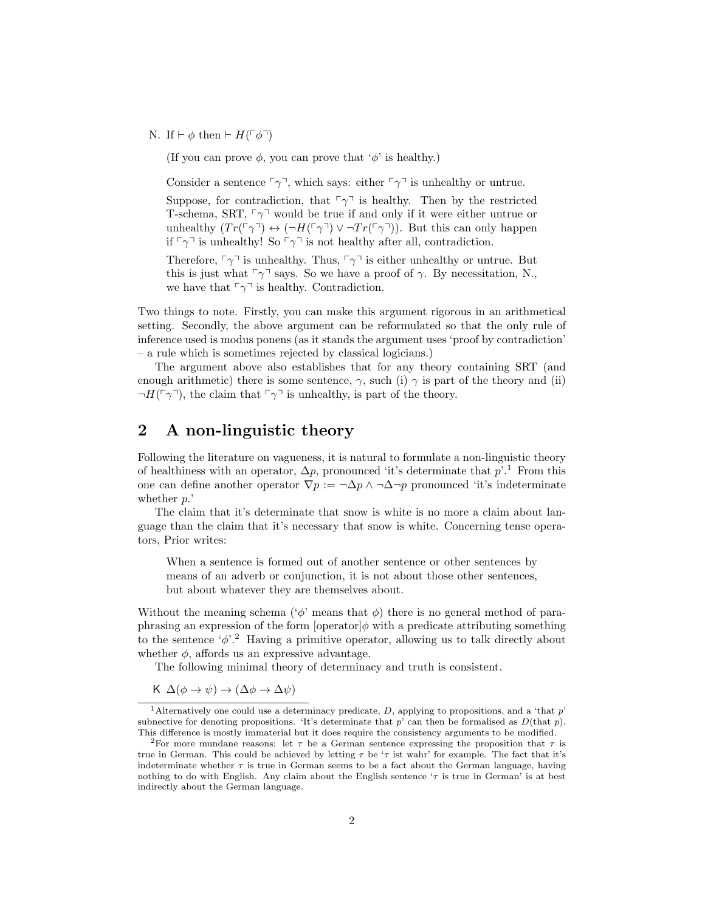N. If  $\vdash \phi$  then  $\vdash H(\ulcorner \phi \urcorner)$ 

(If you can prove  $\phi$ , you can prove that ' $\phi$ ' is healthy.)

Consider a sentence  $\lceil \gamma \rceil$ , which says: either  $\lceil \gamma \rceil$  is unhealthy or untrue.

Suppose, for contradiction, that  $\ulcorner\gamma\urcorner$  is healthy. Then by the restricted T-schema, SRT,  $\lceil \gamma \rceil$  would be true if and only if it were either untrue or unhealthy  $(Tr(\lceil \gamma \rceil) \leftrightarrow (\lceil H(\lceil \gamma \rceil) \vee \lceil T_r(\lceil \gamma \rceil))$ . But this can only happen if  $\lceil \gamma \rceil$  is unhealthy! So  $\lceil \gamma \rceil$  is not healthy after all, contradiction.

Therefore,  $\lceil \gamma \rceil$  is unhealthy. Thus,  $\lceil \gamma \rceil$  is either unhealthy or untrue. But this is just what  $\lceil \gamma \rceil$  says. So we have a proof of  $\gamma$ . By necessitation, N., we have that  $\lceil \gamma \rceil$  is healthy. Contradiction.

Two things to note. Firstly, you can make this argument rigorous in an arithmetical setting. Secondly, the above argument can be reformulated so that the only rule of inference used is modus ponens (as it stands the argument uses 'proof by contradiction' – a rule which is sometimes rejected by classical logicians.)

The argument above also establishes that for any theory containing SRT (and enough arithmetic) there is some sentence,  $\gamma$ , such (i)  $\gamma$  is part of the theory and (ii)  $\neg H(\ulcorner \gamma \urcorner)$ , the claim that  $\ulcorner \gamma \urcorner$  is unhealthy, is part of the theory.

### 2 A non-linguistic theory

Following the literature on vagueness, it is natural to formulate a non-linguistic theory of healthiness with an operator,  $\Delta p$ , pronounced 'it's determinate that  $p'.^1$ . From this one can define another operator  $\nabla p := \neg \Delta p \wedge \neg \Delta \neg p$  pronounced 'it's indeterminate whether  $p$ .

The claim that it's determinate that snow is white is no more a claim about language than the claim that it's necessary that snow is white. Concerning tense operators, Prior writes:

When a sentence is formed out of another sentence or other sentences by means of an adverb or conjunction, it is not about those other sentences, but about whatever they are themselves about.

Without the meaning schema ( $\phi$ ' means that  $\phi$ ) there is no general method of paraphrasing an expression of the form  $\left[ \text{operator} \phi \text{ with a predicate attributing something} \right]$ to the sentence  $\phi$ <sup>2</sup>. Having a primitive operator, allowing us to talk directly about whether  $\phi$ , affords us an expressive advantage.

The following minimal theory of determinacy and truth is consistent.

$$
K \Delta(\phi \to \psi) \to (\Delta \phi \to \Delta \psi)
$$

<sup>&</sup>lt;sup>1</sup>Alternatively one could use a determinacy predicate, D, applying to propositions, and a 'that  $p$ ' subnective for denoting propositions. 'It's determinate that  $p'$  can then be formalised as  $D(\text{that } p)$ . This difference is mostly immaterial but it does require the consistency arguments to be modified.

<sup>&</sup>lt;sup>2</sup>For more mundane reasons: let  $\tau$  be a German sentence expressing the proposition that  $\tau$  is true in German. This could be achieved by letting  $\tau$  be ' $\tau$  ist wahr' for example. The fact that it's indeterminate whether  $\tau$  is true in German seems to be a fact about the German language, having nothing to do with English. Any claim about the English sentence  $\tau$  is true in German' is at best indirectly about the German language.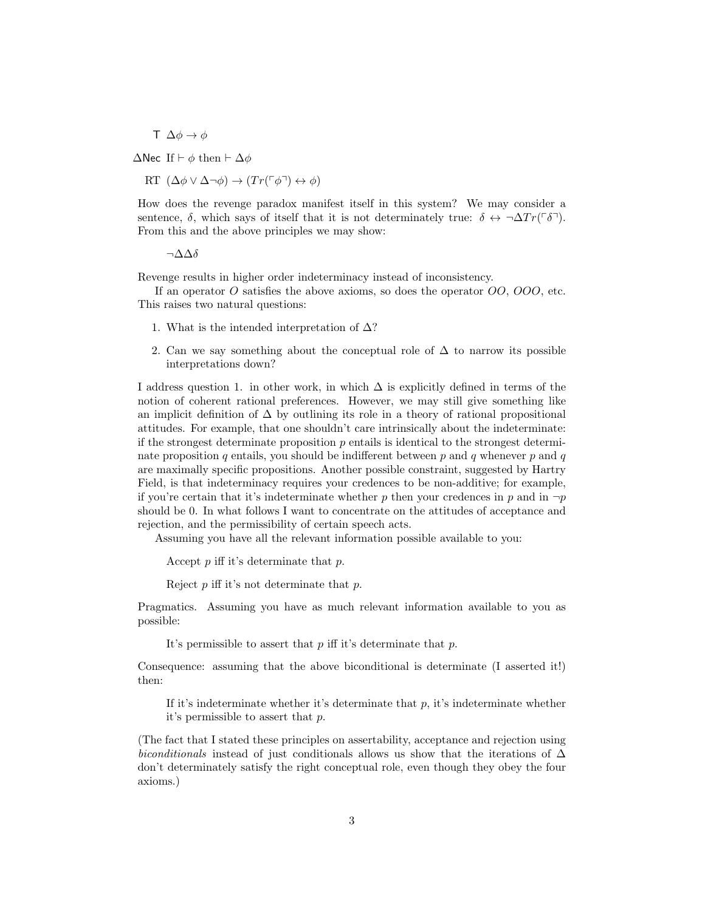$\top \Delta \phi \rightarrow \phi$ 

 $\Delta$ Nec If  $\vdash \phi$  then  $\vdash \Delta \phi$ 

 $RT \left(\Delta \phi \vee \Delta \neg \phi \right) \rightarrow \left( Tr(\ulcorner \phi \urcorner) \leftrightarrow \phi \right)$ 

How does the revenge paradox manifest itself in this system? We may consider a sentence,  $\delta$ , which says of itself that it is not determinately true:  $\delta \leftrightarrow \neg \Delta Tr(\ulcorner \delta \urcorner)$ . From this and the above principles we may show:

 $\neg$ Δ $\Delta$ δ

Revenge results in higher order indeterminacy instead of inconsistency.

If an operator O satisfies the above axioms, so does the operator  $OO$ ,  $OOO$ , etc. This raises two natural questions:

- 1. What is the intended interpretation of  $\Delta$ ?
- 2. Can we say something about the conceptual role of  $\Delta$  to narrow its possible interpretations down?

I address question 1. in other work, in which  $\Delta$  is explicitly defined in terms of the notion of coherent rational preferences. However, we may still give something like an implicit definition of  $\Delta$  by outlining its role in a theory of rational propositional attitudes. For example, that one shouldn't care intrinsically about the indeterminate: if the strongest determinate proposition  $p$  entails is identical to the strongest determinate proposition q entails, you should be indifferent between  $p$  and  $q$  whenever  $p$  and  $q$ are maximally specific propositions. Another possible constraint, suggested by Hartry Field, is that indeterminacy requires your credences to be non-additive; for example, if you're certain that it's indeterminate whether p then your credences in p and in  $\neg p$ should be 0. In what follows I want to concentrate on the attitudes of acceptance and rejection, and the permissibility of certain speech acts.

Assuming you have all the relevant information possible available to you:

Accept  $p$  iff it's determinate that  $p$ .

Reject p iff it's not determinate that p.

Pragmatics. Assuming you have as much relevant information available to you as possible:

It's permissible to assert that  $p$  iff it's determinate that  $p$ .

Consequence: assuming that the above biconditional is determinate (I asserted it!) then:

If it's indeterminate whether it's determinate that  $p$ , it's indeterminate whether it's permissible to assert that p.

(The fact that I stated these principles on assertability, acceptance and rejection using biconditionals instead of just conditionals allows us show that the iterations of  $\Delta$ don't determinately satisfy the right conceptual role, even though they obey the four axioms.)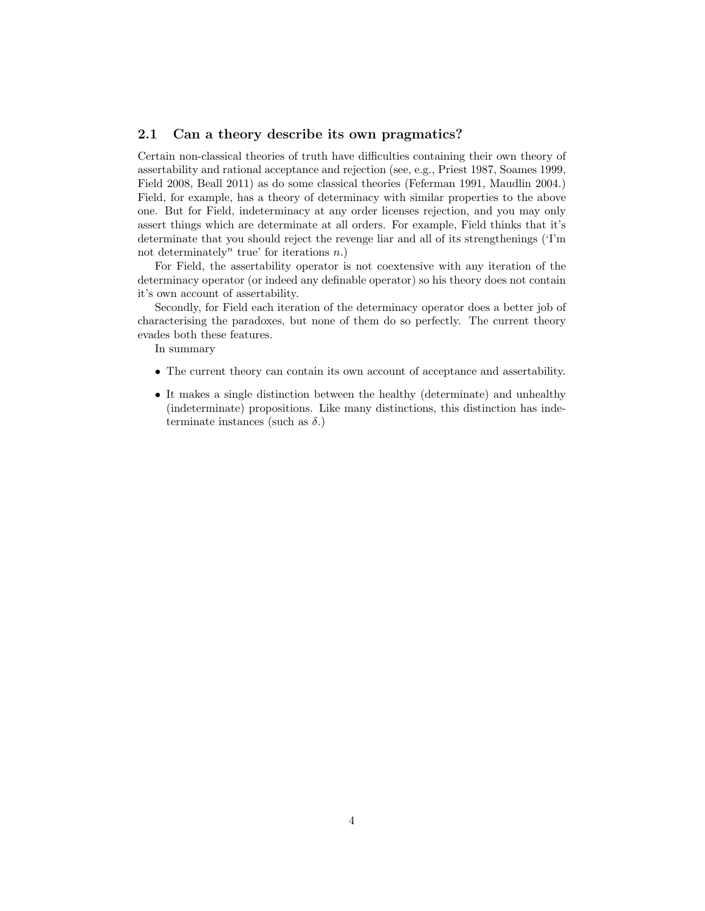#### 2.1 Can a theory describe its own pragmatics?

Certain non-classical theories of truth have difficulties containing their own theory of assertability and rational acceptance and rejection (see, e.g., Priest 1987, Soames 1999, Field 2008, Beall 2011) as do some classical theories (Feferman 1991, Maudlin 2004.) Field, for example, has a theory of determinacy with similar properties to the above one. But for Field, indeterminacy at any order licenses rejection, and you may only assert things which are determinate at all orders. For example, Field thinks that it's determinate that you should reject the revenge liar and all of its strengthenings ('I'm not determinately<sup>n</sup> true' for iterations  $n$ .)

For Field, the assertability operator is not coextensive with any iteration of the determinacy operator (or indeed any definable operator) so his theory does not contain it's own account of assertability.

Secondly, for Field each iteration of the determinacy operator does a better job of characterising the paradoxes, but none of them do so perfectly. The current theory evades both these features.

In summary

- The current theory can contain its own account of acceptance and assertability.
- It makes a single distinction between the healthy (determinate) and unhealthy (indeterminate) propositions. Like many distinctions, this distinction has indeterminate instances (such as  $\delta$ .)